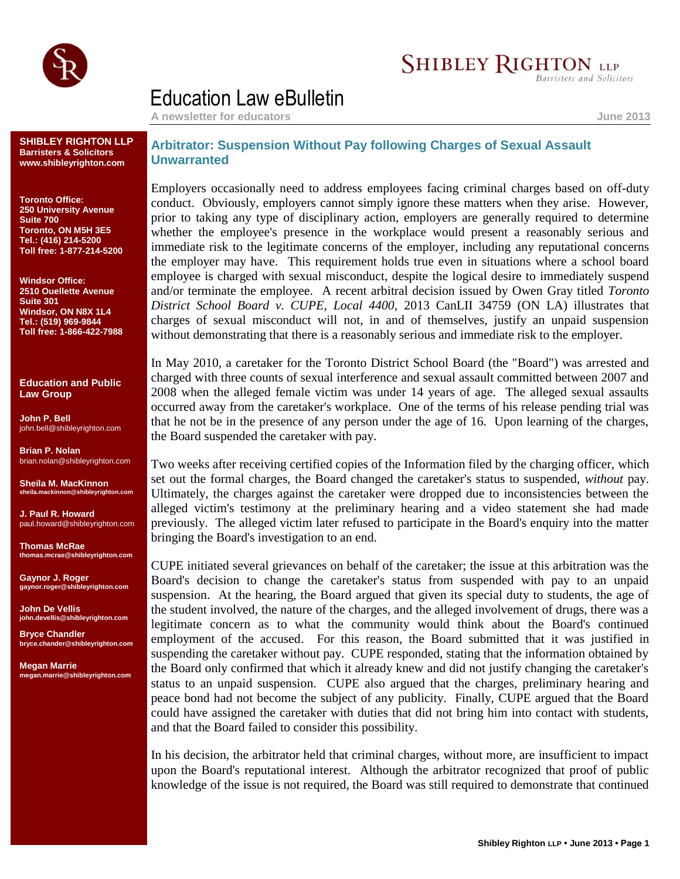

## **SHIBLEY RIGHTON LLP**

**Barristers and Solicitors** 

## Education Law eBulletin

**A newsletter for educators June 2013**

**SHIBLEY RIGHTON LLP Barristers & Solicitors www.shibleyrighton.com**

**Toronto Office: 250 University Avenue Suite 700 Toronto, ON M5H 3E5 Tel.: (416) 214-5200 Toll free: 1-877-214-5200**

**Windsor Office: 2510 Ouellette Avenue Suite 301 Windsor, ON N8X 1L4 Tel.: (519) 969-9844 Toll free: 1-866-422-7988**

**Education and Public Law Group**

**John P. Bell** john.bell@shibleyrighton.com

**Brian P. Nolan** brian.nolan@shibleyrighton.com

**Sheila M. MacKinnon ila.mackinnon@shib** 

**J. Paul R. Howard** paul.howard@shibleyrighton.com

**Thomas McRae thomas.mcrae@shibleyrighton.com**

**Gaynor J. Roger gaynor.roger@shibleyrighton.com**

**John De Vellis john.devellis@shibleyrighton.com**

**Bryce Chandler bryce.chander@shibleyrighton.com**

**Megan Marrie megan.marrie@shibleyrighton.com**

## **Arbitrator: Suspension Without Pay following Charges of Sexual Assault Unwarranted**

Employers occasionally need to address employees facing criminal charges based on off-duty conduct. Obviously, employers cannot simply ignore these matters when they arise. However, prior to taking any type of disciplinary action, employers are generally required to determine whether the employee's presence in the workplace would present a reasonably serious and immediate risk to the legitimate concerns of the employer, including any reputational concerns the employer may have. This requirement holds true even in situations where a school board employee is charged with sexual misconduct, despite the logical desire to immediately suspend and/or terminate the employee. A recent arbitral decision issued by Owen Gray titled *Toronto District School Board v. CUPE, Local 4400,* 2013 CanLII 34759 (ON LA) illustrates that charges of sexual misconduct will not, in and of themselves, justify an unpaid suspension without demonstrating that there is a reasonably serious and immediate risk to the employer.

In May 2010, a caretaker for the Toronto District School Board (the "Board") was arrested and charged with three counts of sexual interference and sexual assault committed between 2007 and 2008 when the alleged female victim was under 14 years of age. The alleged sexual assaults occurred away from the caretaker's workplace. One of the terms of his release pending trial was that he not be in the presence of any person under the age of 16. Upon learning of the charges, the Board suspended the caretaker with pay.

Two weeks after receiving certified copies of the Information filed by the charging officer, which set out the formal charges, the Board changed the caretaker's status to suspended, *without* pay. Ultimately, the charges against the caretaker were dropped due to inconsistencies between the alleged victim's testimony at the preliminary hearing and a video statement she had made previously. The alleged victim later refused to participate in the Board's enquiry into the matter bringing the Board's investigation to an end.

CUPE initiated several grievances on behalf of the caretaker; the issue at this arbitration was the Board's decision to change the caretaker's status from suspended with pay to an unpaid suspension. At the hearing, the Board argued that given its special duty to students, the age of the student involved, the nature of the charges, and the alleged involvement of drugs, there was a legitimate concern as to what the community would think about the Board's continued employment of the accused. For this reason, the Board submitted that it was justified in suspending the caretaker without pay. CUPE responded, stating that the information obtained by the Board only confirmed that which it already knew and did not justify changing the caretaker's status to an unpaid suspension. CUPE also argued that the charges, preliminary hearing and peace bond had not become the subject of any publicity. Finally, CUPE argued that the Board could have assigned the caretaker with duties that did not bring him into contact with students, and that the Board failed to consider this possibility.

In his decision, the arbitrator held that criminal charges, without more, are insufficient to impact upon the Board's reputational interest. Although the arbitrator recognized that proof of public knowledge of the issue is not required, the Board was still required to demonstrate that continued